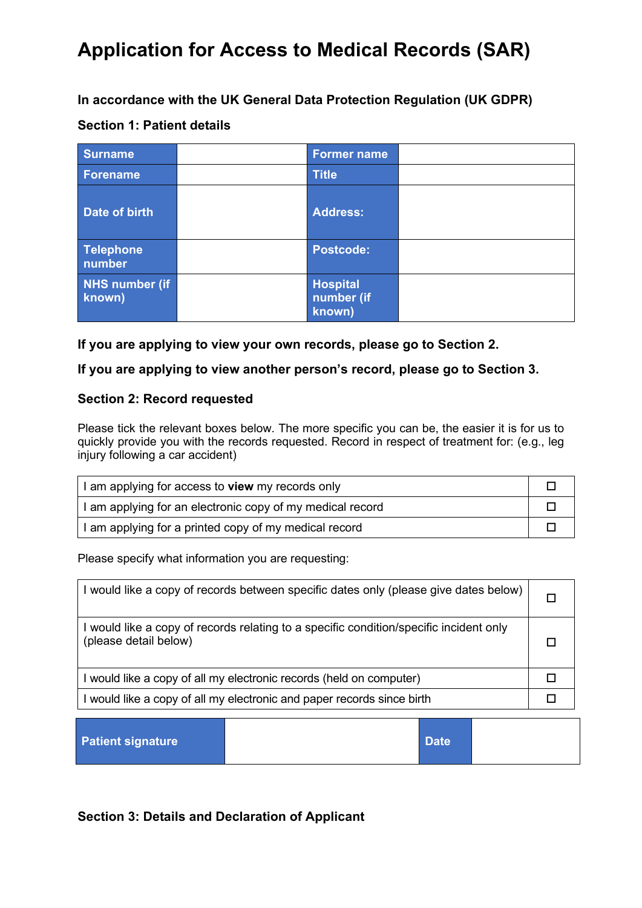**In accordance with the UK General Data Protection Regulation (UK GDPR)**

## **Section 1: Patient details**

| <b>Surname</b>           | <b>Former name</b>                      |  |
|--------------------------|-----------------------------------------|--|
| Forename                 | <b>Title</b>                            |  |
| Date of birth            | <b>Address:</b>                         |  |
| Telephone<br>number      | <b>Postcode:</b>                        |  |
| NHS number (if<br>known) | <b>Hospital</b><br>number (if<br>known) |  |

### **If you are applying to view your own records, please go to Section 2.**

### **If you are applying to view another person's record, please go to Section 3.**

### **Section 2: Record requested**

Please tick the relevant boxes below. The more specific you can be, the easier it is for us to quickly provide you with the records requested. Record in respect of treatment for: (e.g., leg injury following a car accident)

| I am applying for access to <b>view</b> my records only   |  |
|-----------------------------------------------------------|--|
| I am applying for an electronic copy of my medical record |  |
| I am applying for a printed copy of my medical record     |  |

Please specify what information you are requesting:

| I would like a copy of records between specific dates only (please give dates below)                            |  |
|-----------------------------------------------------------------------------------------------------------------|--|
| I would like a copy of records relating to a specific condition/specific incident only<br>(please detail below) |  |
| I would like a copy of all my electronic records (held on computer)                                             |  |
| I would like a copy of all my electronic and paper records since birth                                          |  |
|                                                                                                                 |  |

| <b>Patient signature</b> |  | Date |  |
|--------------------------|--|------|--|
|--------------------------|--|------|--|

## **Section 3: Details and Declaration of Applicant**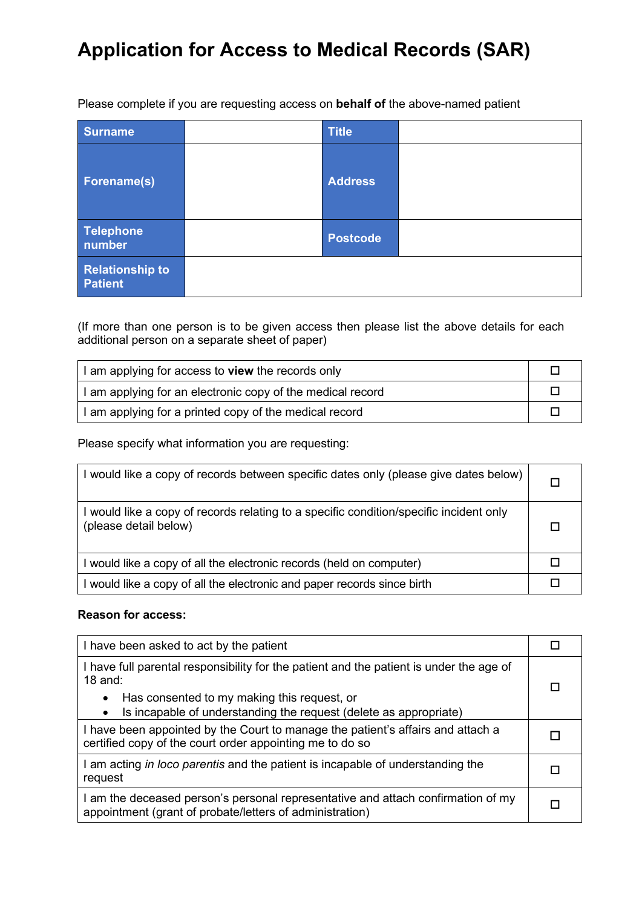Please complete if you are requesting access on **behalf of** the above-named patient

| <b>Surname</b>                           | <b>Title</b>    |  |
|------------------------------------------|-----------------|--|
| <b>Forename(s)</b>                       | <b>Address</b>  |  |
| <b>Telephone</b><br>number               | <b>Postcode</b> |  |
| <b>Relationship to</b><br><b>Patient</b> |                 |  |

(If more than one person is to be given access then please list the above details for each additional person on a separate sheet of paper)

| I am applying for access to view the records only          |  |
|------------------------------------------------------------|--|
| I am applying for an electronic copy of the medical record |  |
| I am applying for a printed copy of the medical record     |  |

Please specify what information you are requesting:

| I would like a copy of records between specific dates only (please give dates below)                            |  |
|-----------------------------------------------------------------------------------------------------------------|--|
| I would like a copy of records relating to a specific condition/specific incident only<br>(please detail below) |  |
| I would like a copy of all the electronic records (held on computer)                                            |  |
| I would like a copy of all the electronic and paper records since birth                                         |  |

#### **Reason for access:**

| I have been asked to act by the patient                                                                                                      |  |
|----------------------------------------------------------------------------------------------------------------------------------------------|--|
| I have full parental responsibility for the patient and the patient is under the age of<br>$18$ and:                                         |  |
| Has consented to my making this request, or<br>٠<br>Is incapable of understanding the request (delete as appropriate)<br>٠                   |  |
| I have been appointed by the Court to manage the patient's affairs and attach a<br>certified copy of the court order appointing me to do so  |  |
| I am acting in loco parentis and the patient is incapable of understanding the<br>request                                                    |  |
| I am the deceased person's personal representative and attach confirmation of my<br>appointment (grant of probate/letters of administration) |  |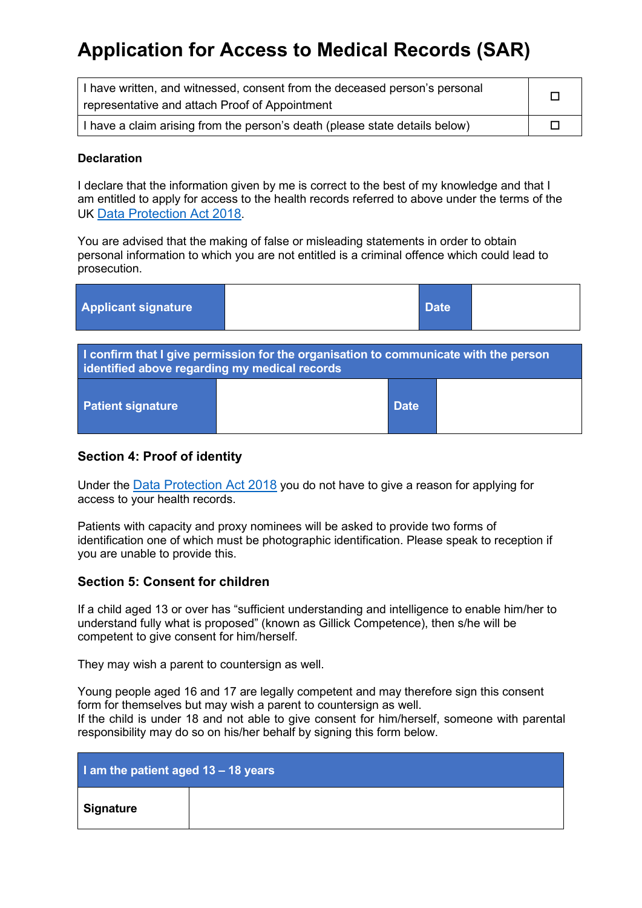| I have written, and witnessed, consent from the deceased person's personal  |  |
|-----------------------------------------------------------------------------|--|
| representative and attach Proof of Appointment                              |  |
| I have a claim arising from the person's death (please state details below) |  |

#### **Declaration**

I declare that the information given by me is correct to the best of my knowledge and that I am entitled to apply for access to the health records referred to above under the terms of the UK [Data Protection Act 2018.](https://www.legislation.gov.uk/ukpga/2018/12/contents/enacted)

You are advised that the making of false or misleading statements in order to obtain personal information to which you are not entitled is a criminal offence which could lead to prosecution.

| <b>Applicant signature</b>                                                                                                            |  |             | <b>Date</b> |  |
|---------------------------------------------------------------------------------------------------------------------------------------|--|-------------|-------------|--|
| I confirm that I give permission for the organisation to communicate with the person<br>identified above regarding my medical records |  |             |             |  |
| <b>Patient signature</b>                                                                                                              |  | <b>Date</b> |             |  |

### **Section 4: Proof of identity**

Under the [Data Protection Act 2018](https://www.legislation.gov.uk/ukpga/2018/12/contents/enacted) you do not have to give a reason for applying for access to your health records.

Patients with capacity and proxy nominees will be asked to provide two forms of identification one of which must be photographic identification. Please speak to reception if you are unable to provide this.

#### **Section 5: Consent for children**

If a child aged 13 or over has "sufficient understanding and intelligence to enable him/her to understand fully what is proposed" (known as Gillick Competence), then s/he will be competent to give consent for him/herself.

They may wish a parent to countersign as well.

Young people aged 16 and 17 are legally competent and may therefore sign this consent form for themselves but may wish a parent to countersign as well. If the child is under 18 and not able to give consent for him/herself, someone with parental responsibility may do so on his/her behalf by signing this form below.

| I am the patient aged 13 - 18 years |  |
|-------------------------------------|--|
| <b>Signature</b>                    |  |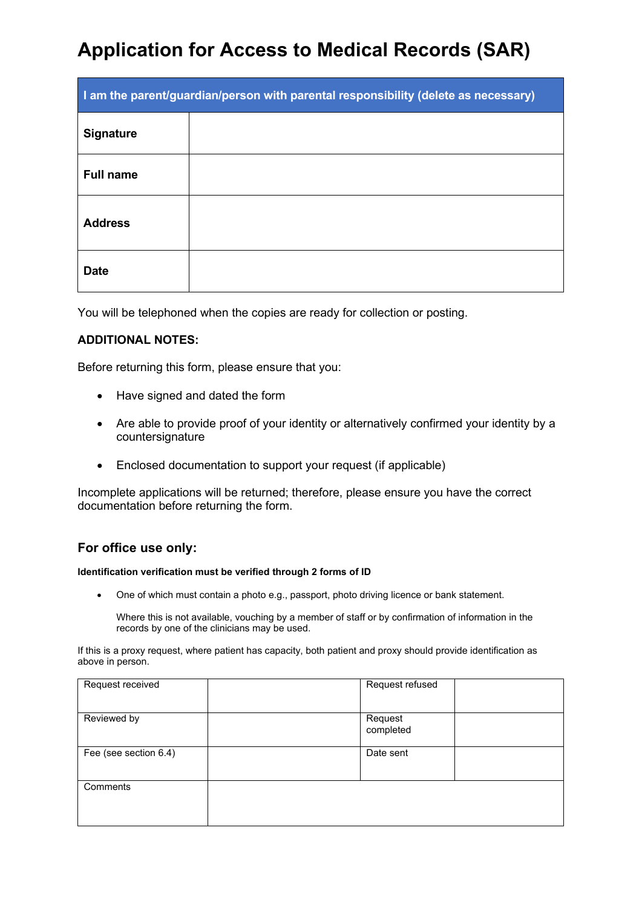| I am the parent/guardian/person with parental responsibility (delete as necessary) |  |  |
|------------------------------------------------------------------------------------|--|--|
| <b>Signature</b>                                                                   |  |  |
| <b>Full name</b>                                                                   |  |  |
| <b>Address</b>                                                                     |  |  |
| <b>Date</b>                                                                        |  |  |

You will be telephoned when the copies are ready for collection or posting.

#### **ADDITIONAL NOTES:**

Before returning this form, please ensure that you:

- Have signed and dated the form
- Are able to provide proof of your identity or alternatively confirmed your identity by a countersignature
- Enclosed documentation to support your request (if applicable)

Incomplete applications will be returned; therefore, please ensure you have the correct documentation before returning the form.

#### **For office use only:**

#### **Identification verification must be verified through 2 forms of ID**

• One of which must contain a photo e.g., passport, photo driving licence or bank statement.

Where this is not available, vouching by a member of staff or by confirmation of information in the records by one of the clinicians may be used.

If this is a proxy request, where patient has capacity, both patient and proxy should provide identification as above in person.

| Request received      | Request refused      |
|-----------------------|----------------------|
| Reviewed by           | Request<br>completed |
| Fee (see section 6.4) | Date sent            |
| Comments              |                      |